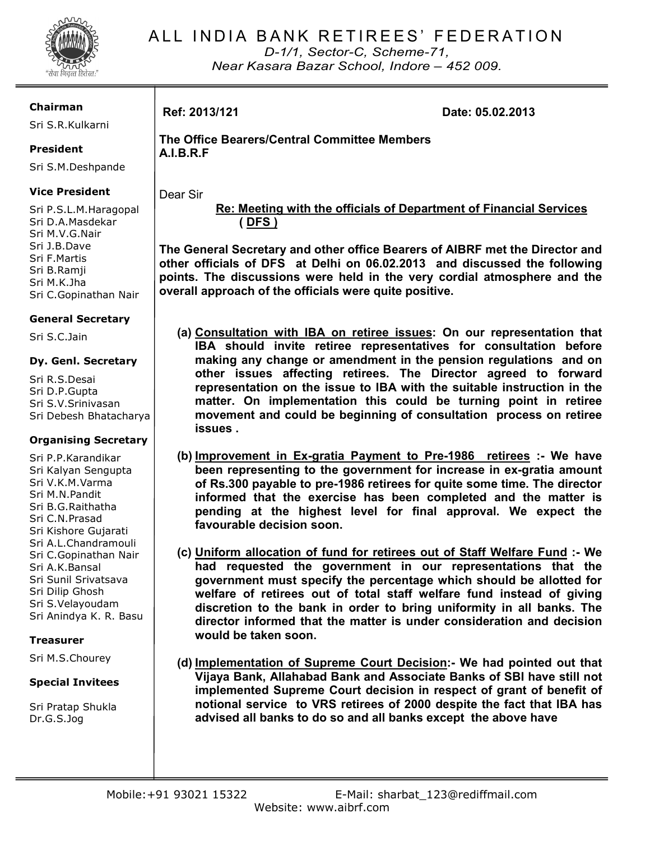

ALL INDIA BANK RETIREES' FEDERATION

*D-1/1, Sector-C, Scheme-71, Near Kasara Bazar School, Indore – 452 009.* 

# **Chairman**

Sri S.R.Kulkarni

## **President**

Sri S.M.Deshpande

# **Vice President**

Sri P.S.L.M.Haragopal Sri D.A.Masdekar Sri M.V.G.Nair Sri J.B.Dave Sri F.Martis Sri B.Ramji Sri M.K.Jha Sri C.Gopinathan Nair

# **General Secretary**

Sri S.C.Jain

#### **Dy. Genl. Secretary**

Sri R.S.Desai Sri D.P.Gupta Sri S.V.Srinivasan Sri Debesh Bhatacharya

#### **Organising Secretary**

Sri P.P.Karandikar Sri Kalyan Sengupta Sri V.K.M.Varma Sri M.N.Pandit Sri B.G.Raithatha Sri C.N.Prasad Sri Kishore Gujarati Sri A.L.Chandramouli Sri C.Gopinathan Nair Sri A.K.Bansal Sri Sunil Srivatsava Sri Dilip Ghosh Sri S.Velayoudam Sri Anindya K. R. Basu

# **Treasurer**

Sri M.S.Chourey

#### **Special Invitees**

Sri Pratap Shukla Dr.G.S.Jog

**Ref: 2013/121 Date: 05.02.2013** 

**The Office Bearers/Central Committee Members A.I.B.R.F** 

Dear Sir

 **Re: Meeting with the officials of Department of Financial Services ( DFS )**

**The General Secretary and other office Bearers of AIBRF met the Director and other officials of DFS at Delhi on 06.02.2013 and discussed the following points. The discussions were held in the very cordial atmosphere and the overall approach of the officials were quite positive.** 

- **(a) Consultation with IBA on retiree issues: On our representation that IBA should invite retiree representatives for consultation before making any change or amendment in the pension regulations and on other issues affecting retirees. The Director agreed to forward representation on the issue to IBA with the suitable instruction in the matter. On implementation this could be turning point in retiree movement and could be beginning of consultation process on retiree issues .**
- **(b) Improvement in Ex-gratia Payment to Pre-1986 retirees :- We have been representing to the government for increase in ex-gratia amount of Rs.300 payable to pre-1986 retirees for quite some time. The director informed that the exercise has been completed and the matter is pending at the highest level for final approval. We expect the favourable decision soon.**
- **(c) Uniform allocation of fund for retirees out of Staff Welfare Fund :- We had requested the government in our representations that the government must specify the percentage which should be allotted for welfare of retirees out of total staff welfare fund instead of giving discretion to the bank in order to bring uniformity in all banks. The director informed that the matter is under consideration and decision would be taken soon.**
- **(d) Implementation of Supreme Court Decision:- We had pointed out that Vijaya Bank, Allahabad Bank and Associate Banks of SBI have still not implemented Supreme Court decision in respect of grant of benefit of notional service to VRS retirees of 2000 despite the fact that IBA has advised all banks to do so and all banks except the above have**